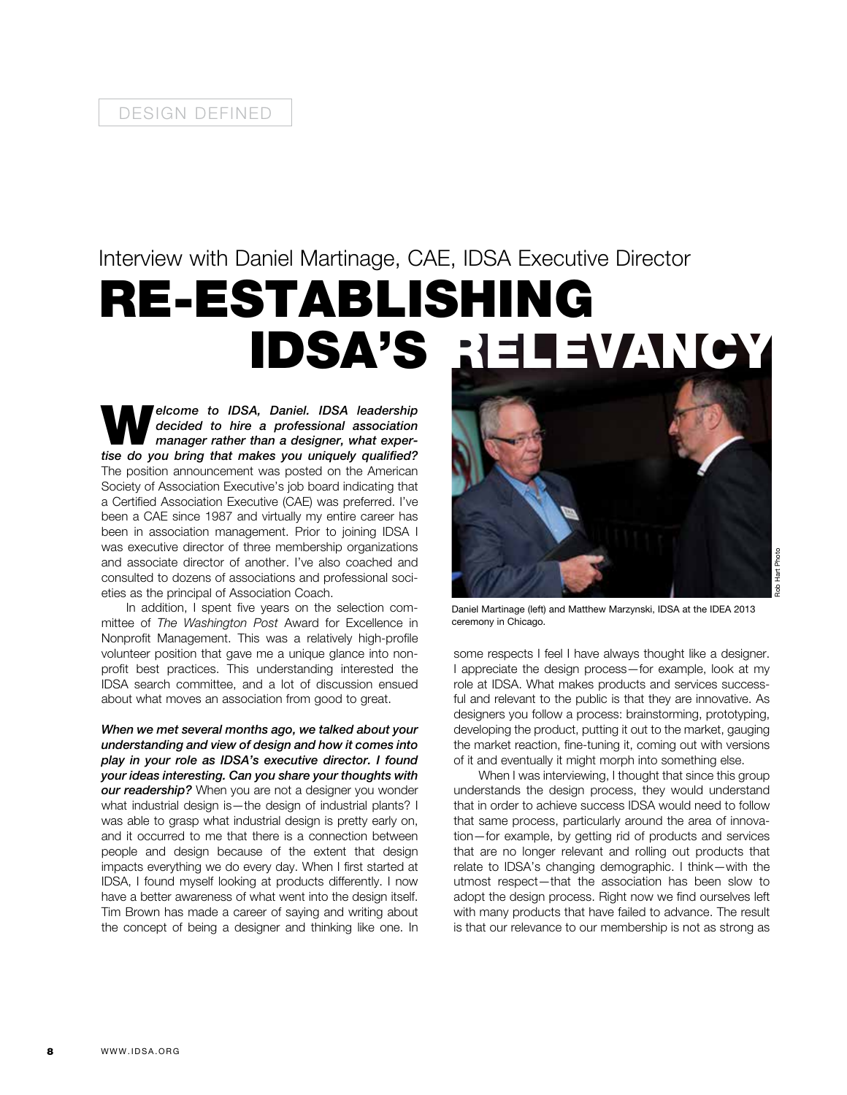## Interview with Daniel Martinage, CAE, IDSA Executive Director RE-ESTABLISHING IDSA'S RELEVANCY

**Welcome to IDSA, Daniel. IDSA leadership**<br>decided to hire a professional association<br>manager rather than a designer, what exper-<br>tips do you him that makes you uniqually qualified? *decided to hire a professional association manager rather than a designer, what expertise do you bring that makes you uniquely qualified?*  The position announcement was posted on the American Society of Association Executive's job board indicating that a Certified Association Executive (CAE) was preferred. I've been a CAE since 1987 and virtually my entire career has been in association management. Prior to joining IDSA I was executive director of three membership organizations and associate director of another. I've also coached and consulted to dozens of associations and professional societies as the principal of Association Coach.

In addition, I spent five years on the selection committee of *The Washington Post* Award for Excellence in Nonprofit Management. This was a relatively high-profile volunteer position that gave me a unique glance into nonprofit best practices. This understanding interested the IDSA search committee, and a lot of discussion ensued about what moves an association from good to great.

*When we met several months ago, we talked about your understanding and view of design and how it comes into play in your role as IDSA's executive director. I found your ideas interesting. Can you share your thoughts with our readership?* When you are not a designer you wonder what industrial design is—the design of industrial plants? I was able to grasp what industrial design is pretty early on, and it occurred to me that there is a connection between people and design because of the extent that design impacts everything we do every day. When I first started at IDSA, I found myself looking at products differently. I now have a better awareness of what went into the design itself. Tim Brown has made a career of saying and writing about the concept of being a designer and thinking like one. In



**Rob Hart Photo** Rob Hart Photo

Daniel Martinage (left) and Matthew Marzynski, IDSA at the IDEA 2013 ceremony in Chicago.

some respects I feel I have always thought like a designer. I appreciate the design process—for example, look at my role at IDSA. What makes products and services successful and relevant to the public is that they are innovative. As designers you follow a process: brainstorming, prototyping, developing the product, putting it out to the market, gauging the market reaction, fine-tuning it, coming out with versions of it and eventually it might morph into something else.

When I was interviewing, I thought that since this group understands the design process, they would understand that in order to achieve success IDSA would need to follow that same process, particularly around the area of innovation—for example, by getting rid of products and services that are no longer relevant and rolling out products that relate to IDSA's changing demographic. I think—with the utmost respect—that the association has been slow to adopt the design process. Right now we find ourselves left with many products that have failed to advance. The result is that our relevance to our membership is not as strong as